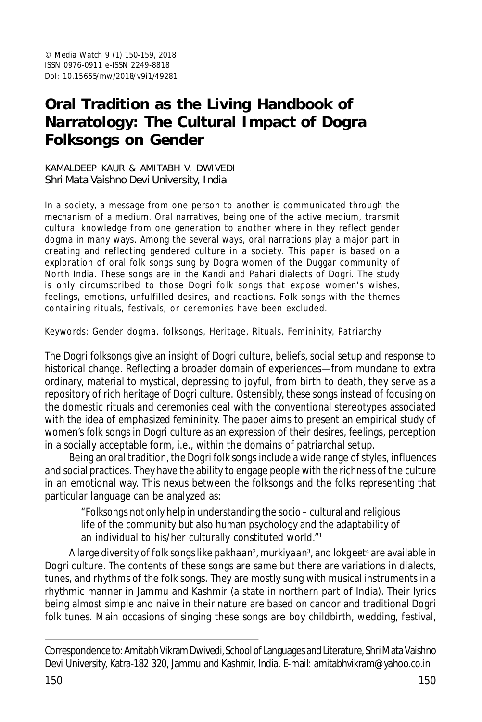# **Oral Tradition as the Living Handbook of Narratology: The Cultural Impact of Dogra Folksongs on Gender**

#### KAMALDEEP KAUR & AMITABH V. DWIVEDI Shri Mata Vaishno Devi University, India

In a society, a message from one person to another is communicated through the mechanism of a medium. Oral narratives, being one of the active medium, transmit cultural knowledge from one generation to another where in they reflect gender dogma in many ways. Among the several ways, oral narrations play a major part in creating and reflecting gendered culture in a society. This paper is based on a exploration of oral folk songs sung by Dogra women of the Duggar community of North India. These songs are in the Kandi and Pahari dialects of Dogri. The study is only circumscribed to those Dogri folk songs that expose women's wishes, feelings, emotions, unfulfilled desires, and reactions. Folk songs with the themes containing rituals, festivals, or ceremonies have been excluded.

Keywords: Gender dogma, folksongs, Heritage, Rituals, Femininity, Patriarchy

The Dogri folksongs give an insight of Dogri culture, beliefs, social setup and response to historical change. Reflecting a broader domain of experiences—from mundane to extra ordinary, material to mystical, depressing to joyful, from birth to death, they serve as a repository of rich heritage of Dogri culture. Ostensibly, these songs instead of focusing on the domestic rituals and ceremonies deal with the conventional stereotypes associated with the idea of emphasized femininity. The paper aims to present an empirical study of women's folk songs in Dogri culture as an expression of their desires, feelings, perception in a socially acceptable form, i.e., within the domains of patriarchal setup.

Being an oral tradition, the Dogri folk songs include a wide range of styles, influences and social practices. They have the ability to engage people with the richness of the culture in an emotional way. This nexus between the folksongs and the folks representing that particular language can be analyzed as:

"Folksongs not only help in understanding the socio – cultural and religious life of the community but also human psychology and the adaptability of an individual to his/her culturally constituted world."<sup>1</sup>

A large diversity of folk songs like *pakhaan*<sup>2</sup> *, murkiyaan*<sup>3</sup> , and *lokgeet*<sup>4</sup> are available in Dogri culture*.* The contents of these songs are same but there are variations in dialects, tunes, and rhythms of the folk songs. They are mostly sung with musical instruments in a rhythmic manner in Jammu and Kashmir (a state in northern part of India). Their lyrics being almost simple and naive in their nature are based on candor and traditional Dogri folk tunes. Main occasions of singing these songs are boy childbirth, wedding, festival,

Correspondence to: Amitabh Vikram Dwivedi, School of Languages and Literature, Shri Mata Vaishno Devi University, Katra-182 320, Jammu and Kashmir, India. E-mail: amitabhvikram@yahoo.co.in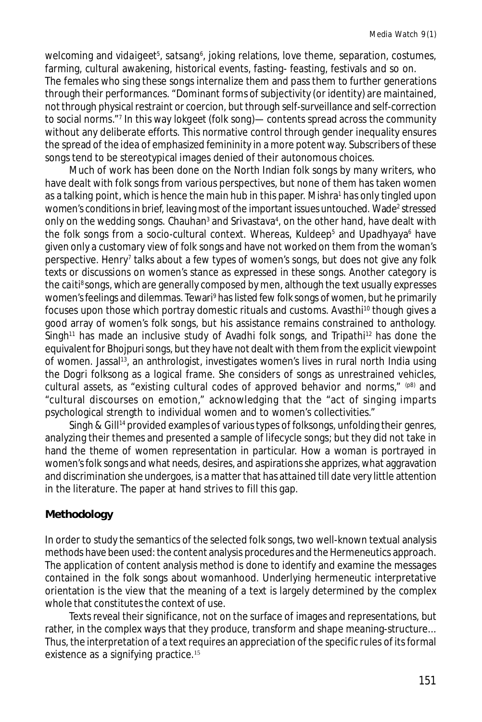welcoming and *vidaigeet<sup>s</sup>, satsang*6, joking relations, love theme, separation, costumes, farming, cultural awakening, historical events, fasting- feasting, festivals and so on. The females who sing these songs internalize them and pass them to further generations through their performances. "Dominant forms of subjectivity (or identity) are maintained, not through physical restraint or coercion, but through self-surveillance and self-correction to social norms."<sup>7</sup> In this way *lokgeet* (folk song)— contents spread across the community without any deliberate efforts. This normative control through gender inequality ensures the spread of the idea of emphasized femininity in a more potent way. Subscribers of these songs tend to be stereotypical images denied of their autonomous choices.

Much of work has been done on the North Indian folk songs by many writers, who have dealt with folk songs from various perspectives, but none of them has taken women as a talking point, which is hence the main hub in this paper. Mishra' has only tingled upon women's conditions in brief, leaving most of the important issues untouched. Wade<sup>2</sup> stressed only on the wedding songs. Chauhan<sup>3</sup> and Srivastava<sup>4</sup>, on the other hand, have dealt with the folk songs from a socio-cultural context. Whereas, Kuldeep<sup>5</sup> and Upadhyaya<sup>6</sup> have given only a customary view of folk songs and have not worked on them from the woman's perspective. Henry<sup>7</sup> talks about a few types of women's songs, but does not give any folk texts or discussions on women's stance as expressed in these songs. Another category is the *caiti*<sup>8</sup> songs, which are generally composed by men, although the text usually expresses women's feelings and dilemmas. Tewari° has listed few folk songs of women, but he primarily focuses upon those which portray domestic rituals and customs. Avasthi<sup>10</sup> though gives a good array of women's folk songs, but his assistance remains constrained to anthology. Singh<sup>11</sup> has made an inclusive study of Avadhi folk songs, and Tripathi<sup>12</sup> has done the equivalent for Bhojpuri songs, but they have not dealt with them from the explicit viewpoint of women. Jassal<sup>13</sup>, an anthrologist, investigates women's lives in rural north India using the Dogri folksong as a logical frame. She considers of songs as unrestrained vehicles, cultural assets, as "existing cultural codes of approved behavior and norms,"  $(p8)$  and "cultural discourses on emotion," acknowledging that the "act of singing imparts psychological strength to individual women and to women's collectivities."

Singh & Gill<sup>14</sup> provided examples of various types of folksongs, unfolding their genres, analyzing their themes and presented a sample of lifecycle songs; but they did not take in hand the theme of women representation in particular. How a woman is portrayed in women's folk songs and what needs, desires, and aspirations she apprizes, what aggravation and discrimination she undergoes, is a matter that has attained till date very little attention in the literature. The paper at hand strives to fill this gap.

## **Methodology**

In order to study the semantics of the selected folk songs, two well-known textual analysis methods have been used: the content analysis procedures and the Hermeneutics approach. The application of content analysis method is done to identify and examine the messages contained in the folk songs about womanhood. Underlying hermeneutic interpretative orientation is the view that the meaning of a text is largely determined by the complex whole that constitutes the context of use.

Texts reveal their significance, not on the surface of images and representations, but rather, in the complex ways that they produce, transform and shape meaning-structure... Thus, the interpretation of a text requires an appreciation of the specific rules of its formal existence as a signifying practice.<sup>15</sup>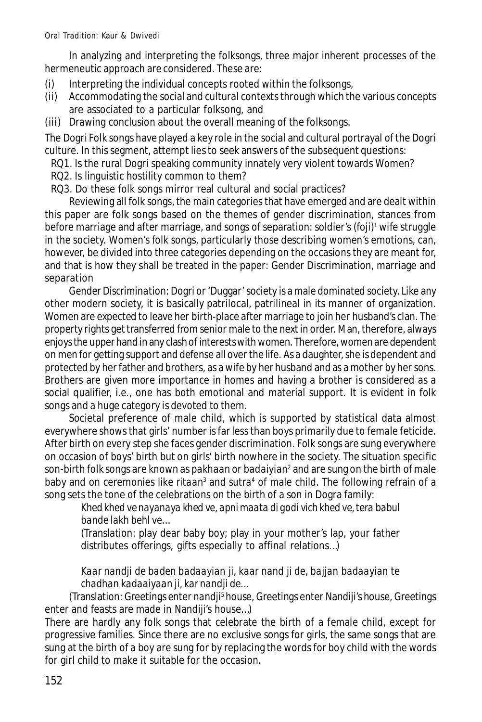In analyzing and interpreting the folksongs, three major inherent processes of the hermeneutic approach are considered. These are:

- (i) Interpreting the individual concepts rooted within the folksongs,
- (ii) Accommodating the social and cultural contexts through which the various concepts are associated to a particular folksong, and
- (iii) Drawing conclusion about the overall meaning of the folksongs.

The Dogri Folk songs have played a key role in the social and cultural portrayal of the Dogri culture. In this segment, attempt lies to seek answers of the subsequent questions:

- RQ1. Is the rural Dogri speaking community innately very violent towards Women?
- RQ2. Is linguistic hostility common to them?
- RQ3. Do these folk songs mirror real cultural and social practices?

Reviewing all folk songs, the main categories that have emerged and are dealt within this paper are folk songs based on the themes of gender discrimination, stances from before marriage and after marriage, and songs of separation: soldier's (*foji*) 1 wife struggle in the society. Women's folk songs, particularly those describing women's emotions, can, however, be divided into three categories depending on the occasions they are meant for, and that is how they shall be treated in the paper: Gender Discrimination, marriage and separation

*Gender Discrimination*: Dogri or 'Duggar' society is a male dominated society. Like any other modern society, it is basically patrilocal, patrilineal in its manner of organization. Women are expected to leave her birth-place after marriage to join her husband's clan. The property rights get transferred from senior male to the next in order. Man, therefore, always enjoys the upper hand in any clash of interests with women. Therefore, women are dependent on men for getting support and defense all over the life. As a daughter, she is dependent and protected by her father and brothers, as a wife by her husband and as a mother by her sons. Brothers are given more importance in homes and having a brother is considered as a social qualifier, i.e., one has both emotional and material support. It is evident in folk songs and a huge category is devoted to them.

Societal preference of male child, which is supported by statistical data almost everywhere shows that girls' number is far less than boys primarily due to female feticide. After birth on every step she faces gender discrimination. Folk songs are sung everywhere on occasion of boys' birth but on girls' birth nowhere in the society. The situation specific son-birth folk songs are known as *pakhaan* or *badaiyian*<sup>2</sup> and are sung on the birth of male baby and on ceremonies like *ritaan<sup>3</sup>* and *sutra<sup>4</sup>* of male child. The following refrain of a song sets the tone of the celebrations on the birth of a son in Dogra family:

*Khed khed ve nayanaya khed ve, apni maata di godi vich khed ve, tera babul bande lakh behl ve…*

(Translation: play dear baby boy; play in your mother's lap, your father distributes offerings, gifts especially to affinal relations…)

# *Kaar nandji de baden badaayian ji, kaar nand ji de, bajjan badaayian te chadhan kadaaiyaan ji, kar nandji de…*

(Translation: Greetings enter *nandji<sup>s</sup> house, Greetings enter Nandiji's house, Greetings* enter and feasts are made in Nandiji's house…)

There are hardly any folk songs that celebrate the birth of a female child, except for progressive families. Since there are no exclusive songs for girls, the same songs that are sung at the birth of a boy are sung for by replacing the words for boy child with the words for girl child to make it suitable for the occasion.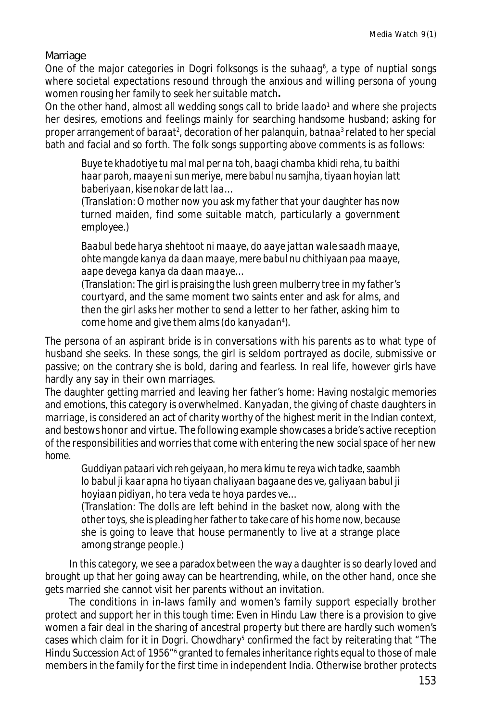Marriage

One of the major categories in Dogri folksongs is the *suhaag*<sup>6</sup>, a type of nuptial songs where societal expectations resound through the anxious and willing persona of young women rousing her family to seek her suitable match**.**

On the other hand, almost all wedding songs call to bride *laado*<sup>1</sup> and where she projects her desires, emotions and feelings mainly for searching handsome husband; asking for proper arrangement of *baraat<sup>2</sup>,* decoration of her palanquin, *batnaa*<sup>3</sup> related to her special bath and facial and so forth. The folk songs supporting above comments is as follows:

*Buye te khadotiye tu mal mal per na toh, baagi chamba khidi reha, tu baithi haar paroh, maaye ni sun meriye, mere babul nu samjha, tiyaan hoyian latt baberiyaan, kise nokar de latt laa…*

(Translation: O mother now you ask my father that your daughter has now turned maiden, find some suitable match, particularly a government employee.)

*Baabul bede harya shehtoot ni maaye, do aaye jattan wale saadh maaye, ohte mangde kanya da daan maaye, mere babul nu chithiyaan paa maaye, aape devega kanya da daan maaye…*

(Translation: The girl is praising the lush green mulberry tree in my father's courtyard, and the same moment two saints enter and ask for alms, and then the girl asks her mother to send a letter to her father, asking him to come home and give them alms (do *kanyadan<sup>4</sup>* ).

The persona of an aspirant bride is in conversations with his parents as to what type of husband she seeks. In these songs, the girl is seldom portrayed as docile, submissive or passive; on the contrary she is bold, daring and fearless. In real life, however girls have hardly any say in their own marriages.

The daughter getting married and leaving her father's home: Having nostalgic memories and emotions, this category is overwhelmed. *Kanyadan*, the giving of chaste daughters in marriage, is considered an act of charity worthy of the highest merit in the Indian context, and bestows honor and virtue. The following example showcases a bride's active reception of the responsibilities and worries that come with entering the new social space of her new home.

*Guddiyan pataari vich reh geiyaan, ho mera kirnu te reya wich tadke, saambh lo babul ji kaar apna ho tiyaan chaliyaan bagaane des ve, galiyaan babul ji hoyiaan pidiyan, ho tera veda te hoya pardes ve…*

(Translation: The dolls are left behind in the basket now, along with the other toys, she is pleading her father to take care of his home now, because she is going to leave that house permanently to live at a strange place among strange people.)

In this category, we see a paradox between the way a daughter is so dearly loved and brought up that her going away can be heartrending, while, on the other hand, once she gets married she cannot visit her parents without an invitation.

The conditions in in-laws family and women's family support especially brother protect and support her in this tough time: Even in Hindu Law there is a provision to give women a fair deal in the sharing of ancestral property but there are hardly such women's cases which claim for it in Dogri. Chowdhary<sup>5</sup> confirmed the fact by reiterating that *"The Hindu Succession Act of 1956"*<sup>6</sup> granted to females inheritance rights equal to those of male members in the family for the first time in independent India. Otherwise brother protects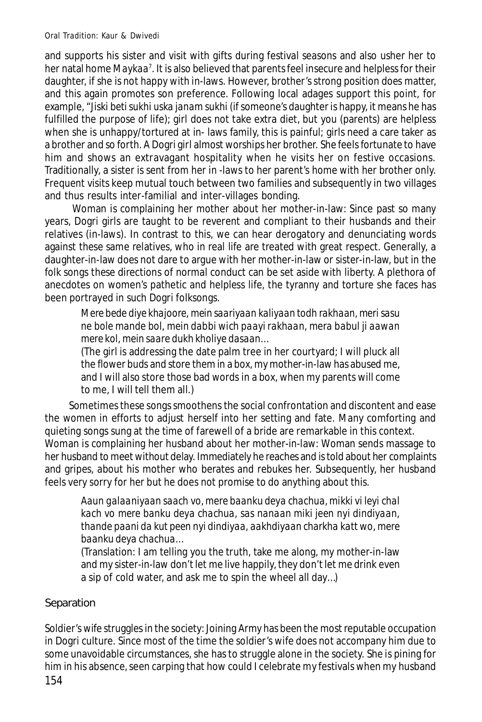and supports his sister and visit with gifts during festival seasons and also usher her to her natal home *Maykaa<sup>7</sup> .* It is also believed that parents feel insecure and helpless for their daughter, if she is not happy with in-laws. However, brother's strong position does matter, and this again promotes son preference. Following local adages support this point, for example, "*Jiski beti sukhi uska janam sukhi* (if someone's daughter is happy, it means he has fulfilled the purpose of life); girl does not take extra diet, but you (parents) are helpless when she is unhappy/tortured at in- laws family, this is painful; girls need a care taker as a brother and so forth. A Dogri girl almost worships her brother. She feels fortunate to have him and shows an extravagant hospitality when he visits her on festive occasions. Traditionally, a sister is sent from her in -laws to her parent's home with her brother only. Frequent visits keep mutual touch between two families and subsequently in two villages and thus results inter-familial and inter-villages bonding.

 Woman is complaining her mother about her mother-in-law: Since past so many years, Dogri girls are taught to be reverent and compliant to their husbands and their relatives (in-laws). In contrast to this, we can hear derogatory and denunciating words against these same relatives, who in real life are treated with great respect. Generally, a daughter-in-law does not dare to argue with her mother-in-law or sister-in-law, but in the folk songs these directions of normal conduct can be set aside with liberty. A plethora of anecdotes on women's pathetic and helpless life, the tyranny and torture she faces has been portrayed in such Dogri folksongs.

*Mere bede diye khajoore, mein saariyaan kaliyaan todh rakhaan, meri sasu ne bole mande bol, mein dabbi wich paayi rakhaan, mera babul ji aawan mere kol, mein saare dukh kholiye dasaan…*

(The girl is addressing the date palm tree in her courtyard; I will pluck all the flower buds and store them in a box, my mother-in-law has abused me, and I will also store those bad words in a box, when my parents will come to me, I will tell them all.)

Sometimes these songs smoothens the social confrontation and discontent and ease the women in efforts to adjust herself into her setting and fate. Many comforting and quieting songs sung at the time of farewell of a bride are remarkable in this context. Woman is complaining her husband about her mother-in-law: Woman sends massage to her husband to meet without delay. Immediately he reaches and is told about her complaints and gripes, about his mother who berates and rebukes her. Subsequently, her husband feels very sorry for her but he does not promise to do anything about this.

*Aaun galaaniyaan saach vo, mere baanku deya chachua, mikki vi leyi chal kach vo mere banku deya chachua, sas nanaan miki jeen nyi dindiyaan, thande paani da kut peen nyi dindiyaa, aakhdiyaan charkha katt wo, mere baanku deya chachua…*

(Translation: I am telling you the truth, take me along, my mother-in-law and my sister-in-law don't let me live happily, they don't let me drink even a sip of cold water, and ask me to spin the wheel all day…)

# Separation

Soldier's wife struggles in the society: Joining Army has been the most reputable occupation in Dogri culture. Since most of the time the soldier's wife does not accompany him due to some unavoidable circumstances, she has to struggle alone in the society. She is pining for him in his absence, seen carping that how could I celebrate my festivals when my husband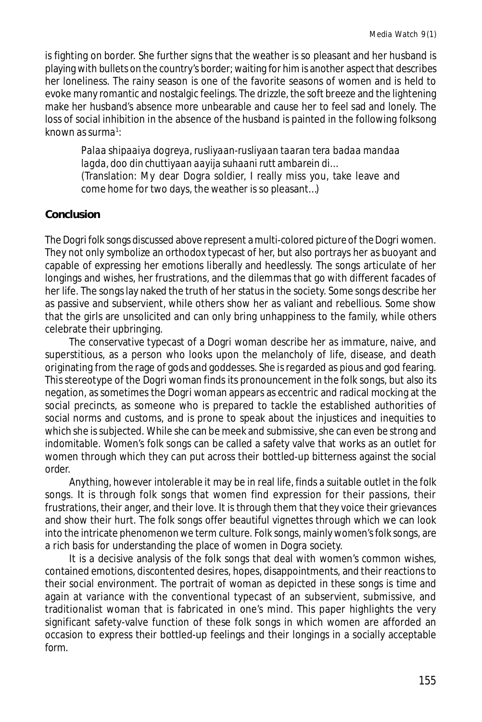is fighting on border. She further signs that the weather is so pleasant and her husband is playing with bullets on the country's border; waiting for him is another aspect that describes her loneliness. The rainy season is one of the favorite seasons of women and is held to evoke many romantic and nostalgic feelings. The drizzle, the soft breeze and the lightening make her husband's absence more unbearable and cause her to feel sad and lonely. The loss of social inhibition in the absence of the husband is painted in the following folksong known as *surma*<sup>1</sup> :

*Palaa shipaaiya dogreya, rusliyaan-rusliyaan taaran tera badaa mandaa lagda, doo din chuttiyaan aayija suhaani rutt ambarein di…* (Translation: My dear Dogra soldier, I really miss you, take leave and come home for two days, the weather is so pleasant…)

## **Conclusion**

The Dogri folk songs discussed above represent a multi-colored picture of the Dogri women. They not only symbolize an orthodox typecast of her, but also portrays her as buoyant and capable of expressing her emotions liberally and heedlessly. The songs articulate of her longings and wishes, her frustrations, and the dilemmas that go with different facades of her life. The songs lay naked the truth of her status in the society. Some songs describe her as passive and subservient, while others show her as valiant and rebellious. Some show that the girls are unsolicited and can only bring unhappiness to the family, while others celebrate their upbringing.

The conservative typecast of a Dogri woman describe her as immature, naive, and superstitious, as a person who looks upon the melancholy of life, disease, and death originating from the rage of gods and goddesses. She is regarded as pious and god fearing. This stereotype of the Dogri woman finds its pronouncement in the folk songs, but also its negation, as sometimes the Dogri woman appears as eccentric and radical mocking at the social precincts, as someone who is prepared to tackle the established authorities of social norms and customs, and is prone to speak about the injustices and inequities to which she is subjected. While she can be meek and submissive, she can even be strong and indomitable. Women's folk songs can be called a safety valve that works as an outlet for women through which they can put across their bottled-up bitterness against the social order.

Anything, however intolerable it may be in real life, finds a suitable outlet in the folk songs. It is through folk songs that women find expression for their passions, their frustrations, their anger, and their love. It is through them that they voice their grievances and show their hurt. The folk songs offer beautiful vignettes through which we can look into the intricate phenomenon we term culture. Folk songs, mainly women's folk songs, are a rich basis for understanding the place of women in Dogra society.

It is a decisive analysis of the folk songs that deal with women's common wishes, contained emotions, discontented desires, hopes, disappointments, and their reactions to their social environment. The portrait of woman as depicted in these songs is time and again at variance with the conventional typecast of an subservient, submissive, and traditionalist woman that is fabricated in one's mind. This paper highlights the very significant safety-valve function of these folk songs in which women are afforded an occasion to express their bottled-up feelings and their longings in a socially acceptable form.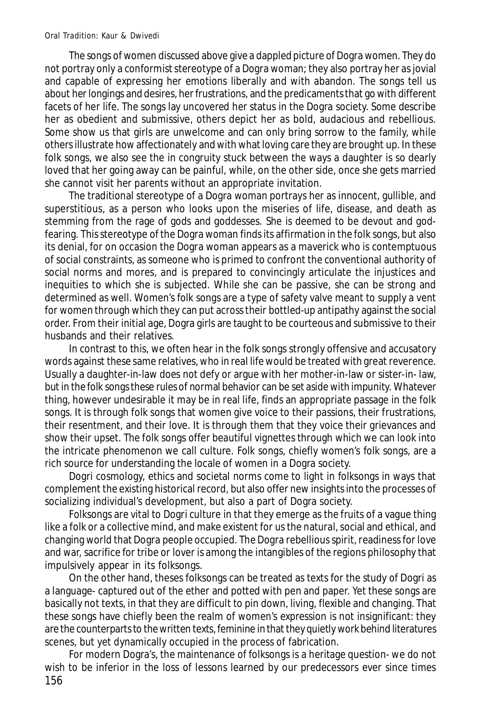The songs of women discussed above give a dappled picture of Dogra women. They do not portray only a conformist stereotype of a Dogra woman; they also portray her as jovial and capable of expressing her emotions liberally and with abandon. The songs tell us about her longings and desires, her frustrations, and the predicaments that go with different facets of her life. The songs lay uncovered her status in the Dogra society. Some describe her as obedient and submissive, others depict her as bold, audacious and rebellious. Some show us that girls are unwelcome and can only bring sorrow to the family, while others illustrate how affectionately and with what loving care they are brought up. In these folk songs, we also see the in congruity stuck between the ways a daughter is so dearly loved that her going away can be painful, while, on the other side, once she gets married she cannot visit her parents without an appropriate invitation.

The traditional stereotype of a Dogra woman portrays her as innocent, gullible, and superstitious, as a person who looks upon the miseries of life, disease, and death as stemming from the rage of gods and goddesses. She is deemed to be devout and godfearing. This stereotype of the Dogra woman finds its affirmation in the folk songs, but also its denial, for on occasion the Dogra woman appears as a maverick who is contemptuous of social constraints, as someone who is primed to confront the conventional authority of social norms and mores, and is prepared to convincingly articulate the injustices and inequities to which she is subjected. While she can be passive, she can be strong and determined as well. Women's folk songs are a type of safety valve meant to supply a vent for women through which they can put across their bottled-up antipathy against the social order. From their initial age, Dogra girls are taught to be courteous and submissive to their husbands and their relatives.

In contrast to this, we often hear in the folk songs strongly offensive and accusatory words against these same relatives, who in real life would be treated with great reverence. Usually a daughter-in-law does not defy or argue with her mother-in-law or sister-in- law, but in the folk songs these rules of normal behavior can be set aside with impunity. Whatever thing, however undesirable it may be in real life, finds an appropriate passage in the folk songs. It is through folk songs that women give voice to their passions, their frustrations, their resentment, and their love. It is through them that they voice their grievances and show their upset. The folk songs offer beautiful vignettes through which we can look into the intricate phenomenon we call culture. Folk songs, chiefly women's folk songs, are a rich source for understanding the locale of women in a Dogra society.

Dogri cosmology, ethics and societal norms come to light in folksongs in ways that complement the existing historical record, but also offer new insights into the processes of socializing individual's development, but also a part of Dogra society.

Folksongs are vital to Dogri culture in that they emerge as the fruits of a vague thing like a folk or a collective mind, and make existent for us the natural, social and ethical, and changing world that Dogra people occupied. The Dogra rebellious spirit, readiness for love and war, sacrifice for tribe or lover is among the intangibles of the regions philosophy that impulsively appear in its folksongs.

On the other hand, theses folksongs can be treated as texts for the study of Dogri as a language- captured out of the ether and potted with pen and paper. Yet these songs are basically not texts, in that they are difficult to pin down, living, flexible and changing. That these songs have chiefly been the realm of women's expression is not insignificant: they are the counterparts to the written texts, feminine in that they quietly work behind literatures scenes, but yet dynamically occupied in the process of fabrication.

156 For modern Dogra's, the maintenance of folksongs is a heritage question- we do not wish to be inferior in the loss of lessons learned by our predecessors ever since times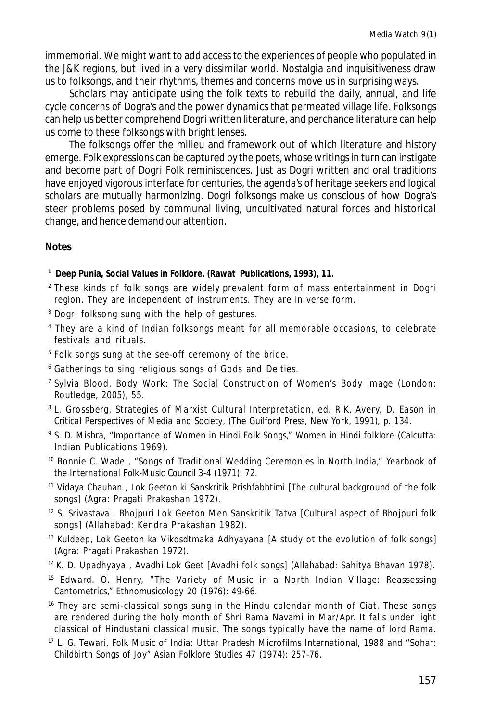immemorial. We might want to add access to the experiences of people who populated in the J&K regions, but lived in a very dissimilar world. Nostalgia and inquisitiveness draw us to folksongs, and their rhythms, themes and concerns move us in surprising ways.

Scholars may anticipate using the folk texts to rebuild the daily, annual, and life cycle concerns of Dogra's and the power dynamics that permeated village life. Folksongs can help us better comprehend Dogri written literature, and perchance literature can help us come to these folksongs with bright lenses.

The folksongs offer the milieu and framework out of which literature and history emerge. Folk expressions can be captured by the poets, whose writings in turn can instigate and become part of Dogri Folk reminiscences. Just as Dogri written and oral traditions have enjoyed vigorous interface for centuries, the agenda's of heritage seekers and logical scholars are mutually harmonizing. Dogri folksongs make us conscious of how Dogra's steer problems posed by communal living, uncultivated natural forces and historical change, and hence demand our attention.

#### **Notes**

**1 Deep Punia,** *Social Values in Folklore***. (Rawat Publications, 1993), 11.**

- <sup>2</sup> These kinds of folk songs are widely prevalent form of mass entertainment in Dogri region. They are independent of instruments. They are in verse form.
- <sup>3</sup> Dogri folksong sung with the help of gestures.
- 4 They are a kind of Indian folksongs meant for all memorable occasions, to celebrate festivals and rituals.
- 5 Folk songs sung at the see-off ceremony of the bride.
- <sup>6</sup> Gatherings to sing religious songs of Gods and Deities.
- 7 Sylvia Blood, Body Work: The Social Construction of Women's Body Image (London: Routledge, 2005), 55.
- $^{\text{\tiny{\textregistered}}}$  L. Grossberg, Strategies of Marxist Cultural Interpretation, ed. R.K. Avery, D. Eason in *Critical Perspectives of Media and Society*, (The Guilford Press, New York, 1991), p. 134.
- 9 S. D. Mishra, "Importance of Women in Hindi Folk Songs," *Women in Hindi folklore* (Calcutta: Indian Publications 1969).
- <sup>10</sup> Bonnie C. Wade , "Songs of Traditional Wedding Ceremonies in North India," *Yearbook of the International Folk-Music Council* 3-4 (1971): 72.
- <sup>11</sup> Vidaya Chauhan , *Lok Geeton ki Sanskritik Prishfabhtimi* [The cultural background of the folk songs] (Agra: Pragati Prakashan 1972).
- <sup>12</sup> S. Srivastava , *Bhojpuri Lok Geeton Men Sanskritik Tatva* [Cultural aspect of Bhojpuri folk songs] (Allahabad: Kendra Prakashan 1982).
- <sup>13</sup> Kuldeep, *Lok Geeton ka Vikdsdtmaka Adhyayana* [A study ot the evolution of folk songs] (Agra: Pragati Prakashan 1972).
- <sup>14</sup>K. D. Upadhyaya , *Avadhi Lok Geet* [Avadhi folk songs] (Allahabad: Sahitya Bhavan 1978).
- <sup>15</sup> Edward. O. Henry, "The Variety of Music in a North Indian Village: Reassessing Cantometrics," *Ethnomusicology* 20 (1976): 49-66.
- <sup>16</sup> They are semi-classical songs sung in the Hindu calendar month of Ciat. These songs are rendered during the holy month of Shri Rama Navami in Mar/Apr. It falls under light classical of Hindustani classical music. The songs typically have the name of lord Rama.
- <sup>17</sup> L. G. Tewari, *Folk Music of India: Uttar Pradesh* Microfilms International, 1988 and "Sohar: Childbirth Songs of Joy" *Asian Folklore Studies* 47 (1974): 257-76.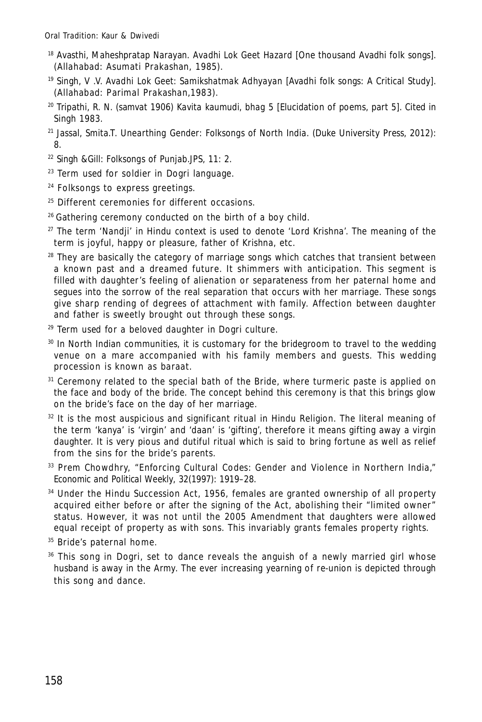- <sup>18</sup> Avasthi, Maheshpratap Narayan. *Avadhi Lok Geet Hazard* [One thousand Avadhi folk songs]. (Allahabad: Asumati Prakashan, 1985).
- <sup>19</sup> Singh, V .V. *Avadhi Lok Geet: Samikshatmak Adhyayan* [Avadhi folk songs: A Critical Study]. (Allahabad: Parimal Prakashan,1983).
- <sup>20</sup> Tripathi, R. N. (samvat 1906) *Kavita kaumudi, bhag 5* [Elucidation of poems, part 5]. Cited in Singh 1983.
- <sup>21</sup> Jassal, Smita.T. *Unearthing Gender: Folksongs of North India.* (Duke University Press, 2012): 8.
- <sup>22</sup> Singh &Gill: *Folksongs of Punjab*.JPS, 11: 2.
- <sup>23</sup> Term used for soldier in Dogri language.
- <sup>24</sup> Folksongs to express greetings.
- <sup>25</sup> Different ceremonies for different occasions.
- <sup>26</sup> Gathering ceremony conducted on the birth of a boy child.
- $27$  The term 'Nandji' in Hindu context is used to denote 'Lord Krishna'. The meaning of the term is joyful, happy or pleasure, father of Krishna, etc.
- $28$  They are basically the category of marriage songs which catches that transient between a known past and a dreamed future. It shimmers with anticipation. This segment is filled with daughter's feeling of alienation or separateness from her paternal home and segues into the sorrow of the real separation that occurs with her marriage. These songs give sharp rending of degrees of attachment with family. Affection between daughter and father is sweetly brought out through these songs.
- $29$  Term used for a beloved daughter in Dogri culture.
- <sup>30</sup> In North Indian communities, it is customary for the bridegroom to travel to the wedding venue on a mare accompanied with his family members and guests. This wedding procession is known as baraat.
- <sup>31</sup> Ceremony related to the special bath of the Bride, where turmeric paste is applied on the face and body of the bride. The concept behind this ceremony is that this brings glow on the bride's face on the day of her marriage.
- $32$  It is the most auspicious and significant ritual in Hindu Religion. The literal meaning of the term 'kanya' is 'virgin' and 'daan' is 'gifting', therefore it means gifting away a virgin daughter. It is very pious and dutiful ritual which is said to bring fortune as well as relief from the sins for the bride's parents.
- 33 Prem Chowdhry, "Enforcing Cultural Codes: Gender and Violence in Northern India," *Economic and Political Weekly*, 32(1997): 1919–28.
- <sup>34</sup> Under the Hindu Succession Act, 1956, females are granted ownership of all property acquired either before or after the signing of the Act, abolishing their "limited owner" status. However, it was not until the 2005 Amendment that daughters were allowed equal receipt of property as with sons. This invariably grants females property rights.

<sup>35</sup> Bride's paternal home.

<sup>36</sup> This song in Dogri, set to dance reveals the anguish of a newly married girl whose husband is away in the Army. The ever increasing yearning of re-union is depicted through this song and dance.